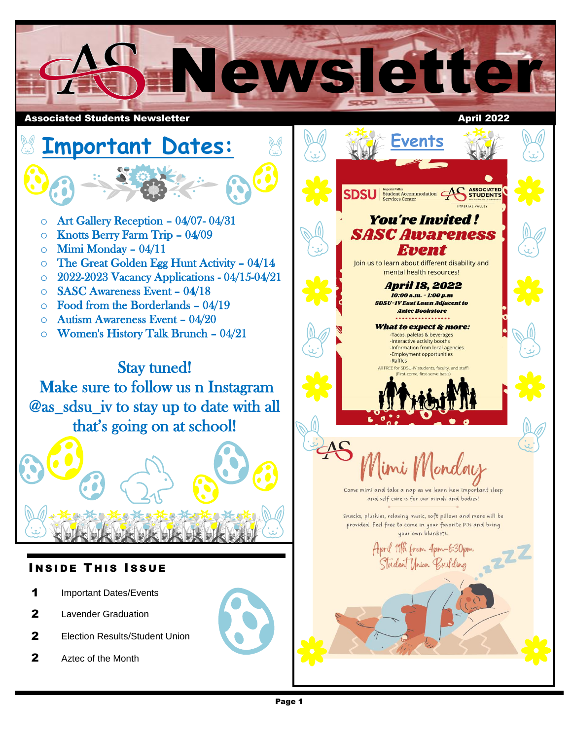

**Events**

U Student Accommodation **ASSOCIATE**<br>
Services Center<br>
Services Center

**You're Invited!** 

**Event** 

mental health resources! **April 18, 2022** 10:00 a.m. - 1:00 p.m **SDSU-IV East Lawn Adjacent to Aztec Bookstore** What to expect & more: -Tacos, paletas & beverages<br>-Interactive activity booths -Information from local agencies -Employment opportunities

EE for SDSU-IV students, faculty, and st

and self care is for our minds and bodies!

your own blankets. April 11th from 4pm-6:30pm Student Union Building

-Raffles

## **Important Dates:**  $\circ$  Art Gallery Reception – 04/07-04/31 **SASC Awareness** o Knotts Berry Farm Trip – 04/09  $\circ$  Mimi Monday - 04/11  $\circ$  The Great Golden Egg Hunt Activity – 04/14 Join us to learn about different disability and o 2022-2023 Vacancy Applications - 04/15-04/21 o SASC Awareness Event – 04/18  $\circ$  Food from the Borderlands – 04/19 o Autism Awareness Event – 04/20 o Women's History Talk Brunch – 04/21 Stay tuned! Make sure to follow us n Instagram @as\_sdsu\_iv to stay up to date with all that's going on at school! Come mimi and take a nap as we learn how important sleep Snacks, plushies, relaxing music, soft pillows and more will be provided. Feel free to come in your favorite PJs and bring **INSIDE THIS ISSUE** 1 Important Dates/Events 2 Lavender Graduation

- 
- 2 **Election Results/Student Union**
- 2 Aztec of the Month

 $\overline{a}$ 

١